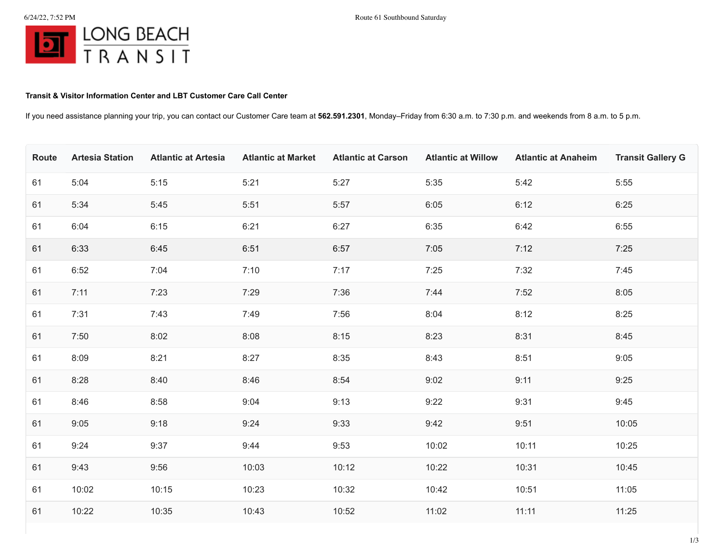## **Transit & Visitor Information Center and LBT Customer Care Call Center**

If you need assistance planning your trip, you can contact our Customer Care team at **562.591.2301**, Monday–Friday from 6:30 a.m. to 7:30 p.m. and weekends from 8 a.m. to 5 p.m.

| Route | <b>Artesia Station</b> | <b>Atlantic at Artesia</b> | <b>Atlantic at Market</b> | <b>Atlantic at Carson</b> | <b>Atlantic at Willow</b> | <b>Atlantic at Anaheim</b> | <b>Transit Gallery G</b> |
|-------|------------------------|----------------------------|---------------------------|---------------------------|---------------------------|----------------------------|--------------------------|
| 61    | 5:04                   | 5:15                       | 5:21                      | 5:27                      | 5:35                      | 5:42                       | 5:55                     |
| 61    | 5:34                   | 5:45                       | 5:51                      | 5:57                      | 6:05                      | 6:12                       | 6:25                     |
| 61    | 6:04                   | 6:15                       | 6:21                      | 6:27                      | 6:35                      | 6:42                       | 6:55                     |
| 61    | 6:33                   | 6:45                       | 6:51                      | 6:57                      | 7:05                      | 7:12                       | 7:25                     |
| 61    | 6:52                   | 7:04                       | 7:10                      | 7:17                      | 7:25                      | 7:32                       | 7:45                     |
| 61    | 7:11                   | 7:23                       | 7:29                      | 7:36                      | 7:44                      | 7:52                       | 8:05                     |
| 61    | 7:31                   | 7:43                       | 7:49                      | 7:56                      | 8:04                      | 8:12                       | 8:25                     |
| 61    | 7:50                   | 8:02                       | 8:08                      | 8:15                      | 8:23                      | 8:31                       | 8:45                     |
| 61    | 8:09                   | 8:21                       | 8:27                      | 8:35                      | 8:43                      | 8:51                       | 9:05                     |
| 61    | 8:28                   | 8:40                       | 8:46                      | 8:54                      | 9:02                      | 9:11                       | 9:25                     |
| 61    | 8:46                   | 8:58                       | 9:04                      | 9:13                      | 9:22                      | 9:31                       | 9:45                     |
| 61    | 9:05                   | 9:18                       | 9:24                      | 9:33                      | 9:42                      | 9:51                       | 10:05                    |
| 61    | 9:24                   | 9:37                       | 9:44                      | 9:53                      | 10:02                     | 10:11                      | 10:25                    |
| 61    | 9:43                   | 9:56                       | 10:03                     | 10:12                     | 10:22                     | 10:31                      | 10:45                    |
| 61    | 10:02                  | 10:15                      | 10:23                     | 10:32                     | 10:42                     | 10:51                      | 11:05                    |
| 61    | 10:22                  | 10:35                      | 10:43                     | 10:52                     | 11:02                     | 11:11                      | 11:25                    |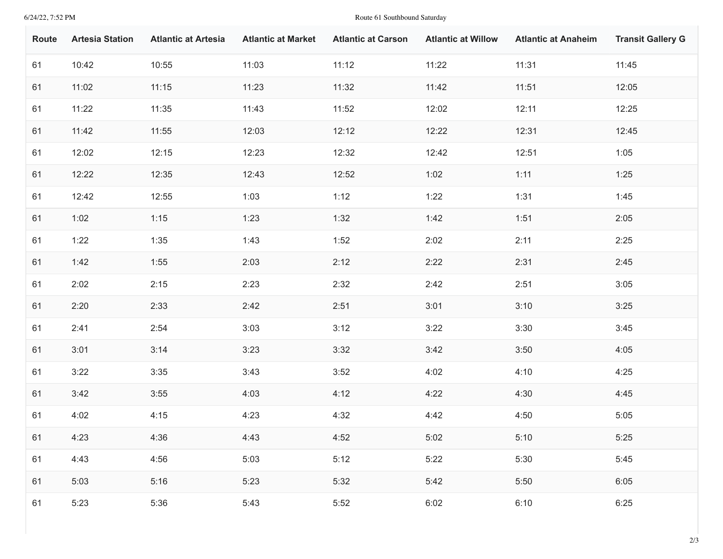## 6/24/22, 7:52 PM Route 61 Southbound Saturday

| <b>Route</b> | <b>Artesia Station</b> | <b>Atlantic at Artesia</b> | <b>Atlantic at Market</b> | <b>Atlantic at Carson</b> | <b>Atlantic at Willow</b> | <b>Atlantic at Anaheim</b> | <b>Transit Gallery G</b> |
|--------------|------------------------|----------------------------|---------------------------|---------------------------|---------------------------|----------------------------|--------------------------|
| 61           | 10:42                  | 10:55                      | 11:03                     | 11:12                     | 11:22                     | 11:31                      | 11:45                    |
| 61           | 11:02                  | 11:15                      | 11:23                     | 11:32                     | 11:42                     | 11:51                      | 12:05                    |
| 61           | 11:22                  | 11:35                      | 11:43                     | 11:52                     | 12:02                     | 12:11                      | 12:25                    |
| 61           | 11:42                  | 11:55                      | 12:03                     | 12:12                     | 12:22                     | 12:31                      | 12:45                    |
| 61           | 12:02                  | 12:15                      | 12:23                     | 12:32                     | 12:42                     | 12:51                      | 1:05                     |
| 61           | 12:22                  | 12:35                      | 12:43                     | 12:52                     | 1:02                      | 1:11                       | 1:25                     |
| 61           | 12:42                  | 12:55                      | 1:03                      | 1:12                      | 1:22                      | 1:31                       | 1:45                     |
| 61           | 1:02                   | 1:15                       | 1:23                      | 1:32                      | 1:42                      | 1:51                       | 2:05                     |
| 61           | 1:22                   | 1:35                       | 1:43                      | 1:52                      | 2:02                      | 2:11                       | 2:25                     |
| 61           | 1:42                   | 1:55                       | 2:03                      | 2:12                      | 2:22                      | 2:31                       | 2:45                     |
| 61           | 2:02                   | 2:15                       | 2:23                      | 2:32                      | 2:42                      | 2:51                       | 3:05                     |
| 61           | 2:20                   | 2:33                       | 2:42                      | 2:51                      | 3:01                      | 3:10                       | 3:25                     |
| 61           | 2:41                   | 2:54                       | 3:03                      | 3:12                      | 3:22                      | 3:30                       | 3:45                     |
| 61           | 3:01                   | 3:14                       | 3:23                      | 3:32                      | 3:42                      | 3:50                       | 4:05                     |
| 61           | 3:22                   | 3:35                       | 3:43                      | 3:52                      | 4:02                      | 4:10                       | 4:25                     |
| 61           | 3:42                   | 3:55                       | 4:03                      | 4:12                      | 4:22                      | 4:30                       | 4:45                     |
| 61           | 4:02                   | 4:15                       | 4:23                      | 4:32                      | 4:42                      | 4:50                       | 5:05                     |
| 61           | 4:23                   | 4:36                       | 4:43                      | 4:52                      | 5:02                      | 5:10                       | 5:25                     |
| 61           | 4:43                   | 4:56                       | 5:03                      | 5:12                      | 5:22                      | 5:30                       | 5:45                     |
| 61           | 5:03                   | 5:16                       | 5:23                      | 5:32                      | 5:42                      | 5:50                       | 6:05                     |
| 61           | 5:23                   | 5:36                       | 5:43                      | 5:52                      | 6:02                      | 6:10                       | 6:25                     |